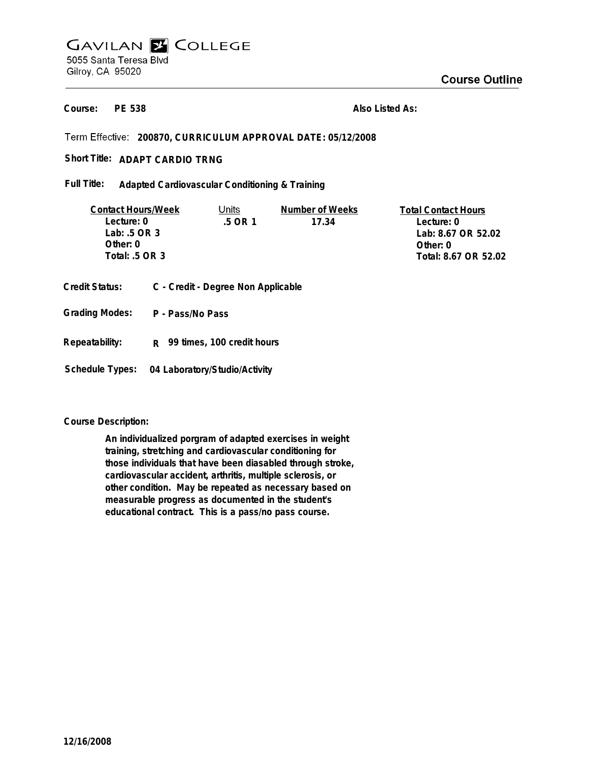# **GAVILAN E COLLEGE** 5055 Santa Teresa Blvd Gilroy, CA 95020

**PE 538 Course:**

**Also Listed As:**

## **200870, CURRICULUM APPROVAL DATE: 05/12/2008**

## Short Title: ADAPT CARDIO TRNG

**Adapted Cardiovascular Conditioning & Training Full Title:**

| <b>Contact Hours/Week</b> | Units  | Number of Weeks | <b>Total Contact Hours</b> |
|---------------------------|--------|-----------------|----------------------------|
| Lecture: 0                | 5 OR 1 | 17.34           | Lecture: 0                 |
| Lab: $.5$ OR 3            |        |                 | Lab: 8.67 OR 52.02         |
| Other: 0                  |        |                 | Other: 0                   |
| Total: $.5$ OR 3          |        |                 | Total: 8.67 OR 52.02       |
|                           |        |                 |                            |

- **Credit Status: C Credit Degree Non Applicable**
- **P Pass/No Pass Grading Modes:**
- **Repeatability: R 99 times, 100 credit hours**

**Schedule Types: 04 Laboratory/Studio/Activity**

## **Course Description:**

**An individualized porgram of adapted exercises in weight training, stretching and cardiovascular conditioning for those individuals that have been diasabled through stroke, cardiovascular accident, arthritis, multiple sclerosis, or other condition. May be repeated as necessary based on measurable progress as documented in the student's educational contract. This is a pass/no pass course.**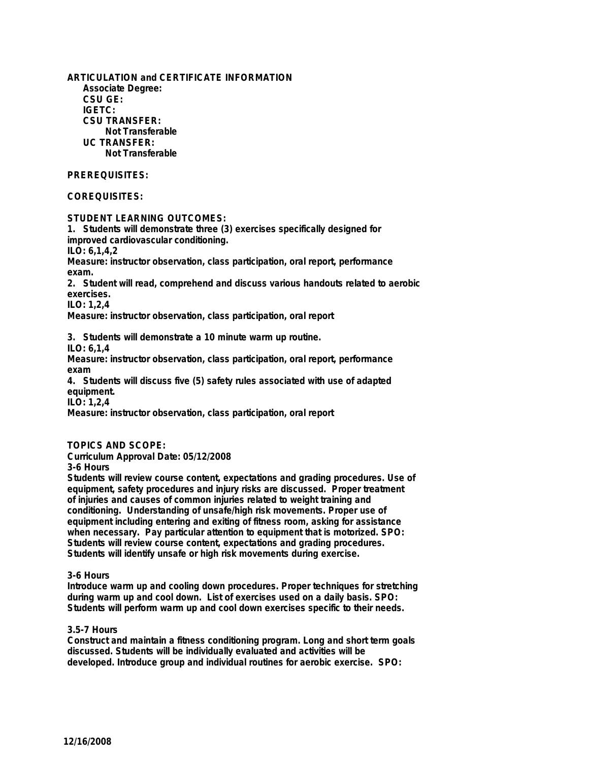**ARTICULATION and CERTIFICATE INFORMATION Associate Degree: CSU GE: IGETC: CSU TRANSFER: Not Transferable UC TRANSFER: Not Transferable**

## **PREREQUISITES:**

## **COREQUISITES:**

## **STUDENT LEARNING OUTCOMES:**

**1. Students will demonstrate three (3) exercises specifically designed for improved cardiovascular conditioning. ILO: 6,1,4,2 Measure: instructor observation, class participation, oral report, performance exam. 2. Student will read, comprehend and discuss various handouts related to aerobic exercises. ILO: 1,2,4 Measure: instructor observation, class participation, oral report**

**3. Students will demonstrate a 10 minute warm up routine.**

**ILO: 6,1,4**

**Measure: instructor observation, class participation, oral report, performance exam**

**4. Students will discuss five (5) safety rules associated with use of adapted equipment.**

**ILO: 1,2,4**

**Measure: instructor observation, class participation, oral report**

### **TOPICS AND SCOPE:**

**Curriculum Approval Date: 05/12/2008**

**3-6 Hours**

**Students will review course content, expectations and grading procedures. Use of equipment, safety procedures and injury risks are discussed. Proper treatment of injuries and causes of common injuries related to weight training and conditioning. Understanding of unsafe/high risk movements. Proper use of equipment including entering and exiting of fitness room, asking for assistance when necessary. Pay particular attention to equipment that is motorized. SPO: Students will review course content, expectations and grading procedures. Students will identify unsafe or high risk movements during exercise.**

#### **3-6 Hours**

**Introduce warm up and cooling down procedures. Proper techniques for stretching during warm up and cool down. List of exercises used on a daily basis. SPO: Students will perform warm up and cool down exercises specific to their needs.**

#### **3.5-7 Hours**

**Construct and maintain a fitness conditioning program. Long and short term goals discussed. Students will be individually evaluated and activities will be developed. Introduce group and individual routines for aerobic exercise. SPO:**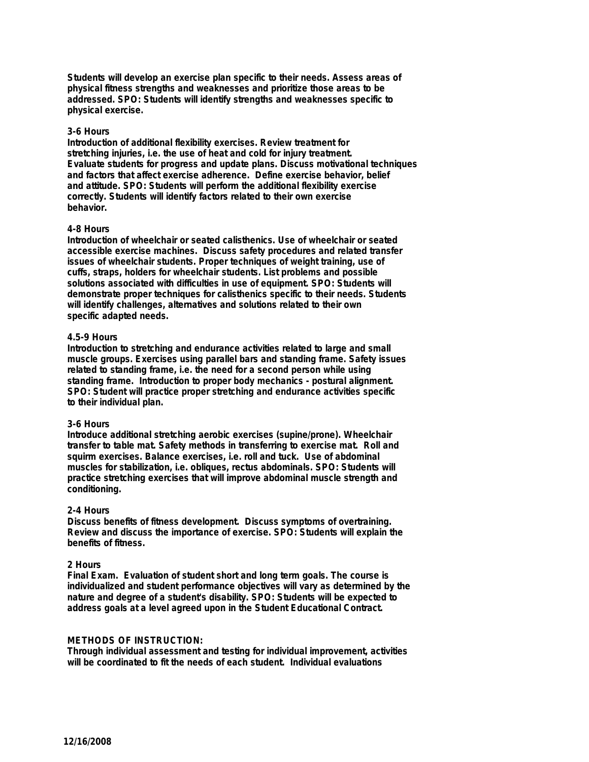**Students will develop an exercise plan specific to their needs. Assess areas of physical fitness strengths and weaknesses and prioritize those areas to be addressed. SPO: Students will identify strengths and weaknesses specific to physical exercise.**

## **3-6 Hours**

**Introduction of additional flexibility exercises. Review treatment for stretching injuries, i.e. the use of heat and cold for injury treatment. Evaluate students for progress and update plans. Discuss motivational techniques and factors that affect exercise adherence. Define exercise behavior, belief and attitude. SPO: Students will perform the additional flexibility exercise correctly. Students will identify factors related to their own exercise behavior.**

#### **4-8 Hours**

**Introduction of wheelchair or seated calisthenics. Use of wheelchair or seated accessible exercise machines. Discuss safety procedures and related transfer issues of wheelchair students. Proper techniques of weight training, use of cuffs, straps, holders for wheelchair students. List problems and possible solutions associated with difficulties in use of equipment. SPO: Students will demonstrate proper techniques for calisthenics specific to their needs. Students will identify challenges, alternatives and solutions related to their own specific adapted needs.**

#### **4.5-9 Hours**

**Introduction to stretching and endurance activities related to large and small muscle groups. Exercises using parallel bars and standing frame. Safety issues related to standing frame, i.e. the need for a second person while using standing frame. Introduction to proper body mechanics - postural alignment. SPO: Student will practice proper stretching and endurance activities specific to their individual plan.**

#### **3-6 Hours**

**Introduce additional stretching aerobic exercises (supine/prone). Wheelchair transfer to table mat. Safety methods in transferring to exercise mat. Roll and squirm exercises. Balance exercises, i.e. roll and tuck. Use of abdominal muscles for stabilization, i.e. obliques, rectus abdominals. SPO: Students will practice stretching exercises that will improve abdominal muscle strength and conditioning.**

#### **2-4 Hours**

**Discuss benefits of fitness development. Discuss symptoms of overtraining. Review and discuss the importance of exercise. SPO: Students will explain the benefits of fitness.**

#### **2 Hours**

**Final Exam. Evaluation of student short and long term goals. The course is individualized and student performance objectives will vary as determined by the nature and degree of a student's disability. SPO: Students will be expected to address goals at a level agreed upon in the Student Educational Contract.**

#### **METHODS OF INSTRUCTION:**

**Through individual assessment and testing for individual improvement, activities will be coordinated to fit the needs of each student. Individual evaluations**